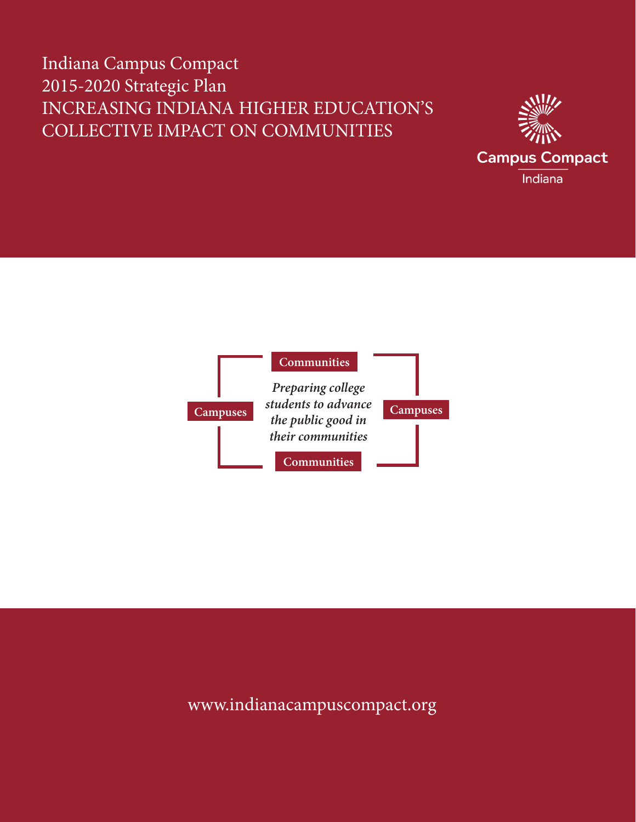# Indiana Campus Compact 2015-2020 Strategic Plan INCREASING INDIANA HIGHER EDUCATION'S COLLECTIVE IMPACT ON COMMUNITIES





## www.indianacampuscompact.org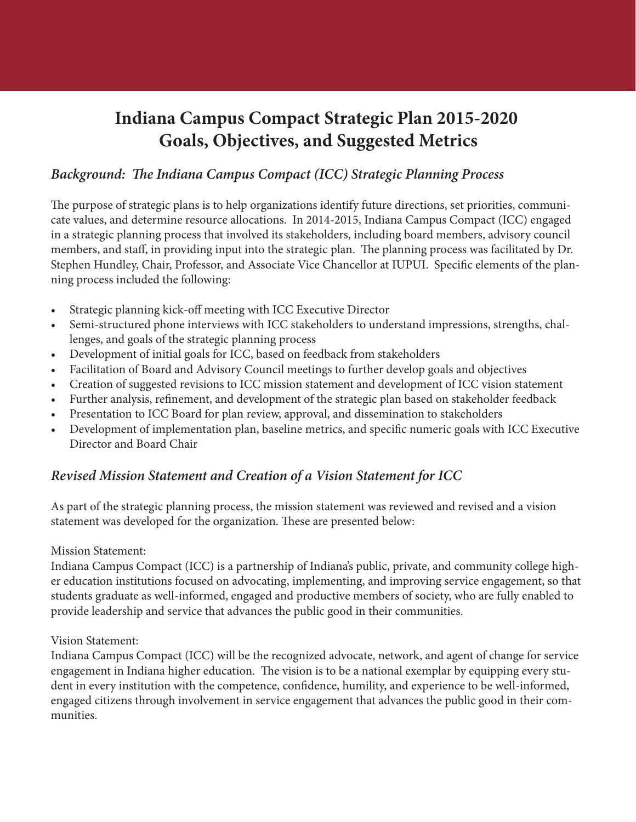## **Indiana Campus Compact Strategic Plan 2015-2020 Goals, Objectives, and Suggested Metrics**

### *Background: The Indiana Campus Compact (ICC) Strategic Planning Process*

The purpose of strategic plans is to help organizations identify future directions, set priorities, communicate values, and determine resource allocations. In 2014-2015, Indiana Campus Compact (ICC) engaged in a strategic planning process that involved its stakeholders, including board members, advisory council members, and staff, in providing input into the strategic plan. The planning process was facilitated by Dr. Stephen Hundley, Chair, Professor, and Associate Vice Chancellor at IUPUI. Specific elements of the planning process included the following:

- Strategic planning kick-off meeting with ICC Executive Director
- • Semi-structured phone interviews with ICC stakeholders to understand impressions, strengths, challenges, and goals of the strategic planning process
- Development of initial goals for ICC, based on feedback from stakeholders
- Facilitation of Board and Advisory Council meetings to further develop goals and objectives
- Creation of suggested revisions to ICC mission statement and development of ICC vision statement
- Further analysis, refinement, and development of the strategic plan based on stakeholder feedback
- Presentation to ICC Board for plan review, approval, and dissemination to stakeholders
- Development of implementation plan, baseline metrics, and specific numeric goals with ICC Executive Director and Board Chair

## *Revised Mission Statement and Creation of a Vision Statement for ICC*

As part of the strategic planning process, the mission statement was reviewed and revised and a vision statement was developed for the organization. These are presented below:

#### Mission Statement:

Indiana Campus Compact (ICC) is a partnership of Indiana's public, private, and community college higher education institutions focused on advocating, implementing, and improving service engagement, so that students graduate as well-informed, engaged and productive members of society, who are fully enabled to provide leadership and service that advances the public good in their communities.

#### Vision Statement:

Indiana Campus Compact (ICC) will be the recognized advocate, network, and agent of change for service engagement in Indiana higher education. The vision is to be a national exemplar by equipping every student in every institution with the competence, confidence, humility, and experience to be well-informed, engaged citizens through involvement in service engagement that advances the public good in their communities.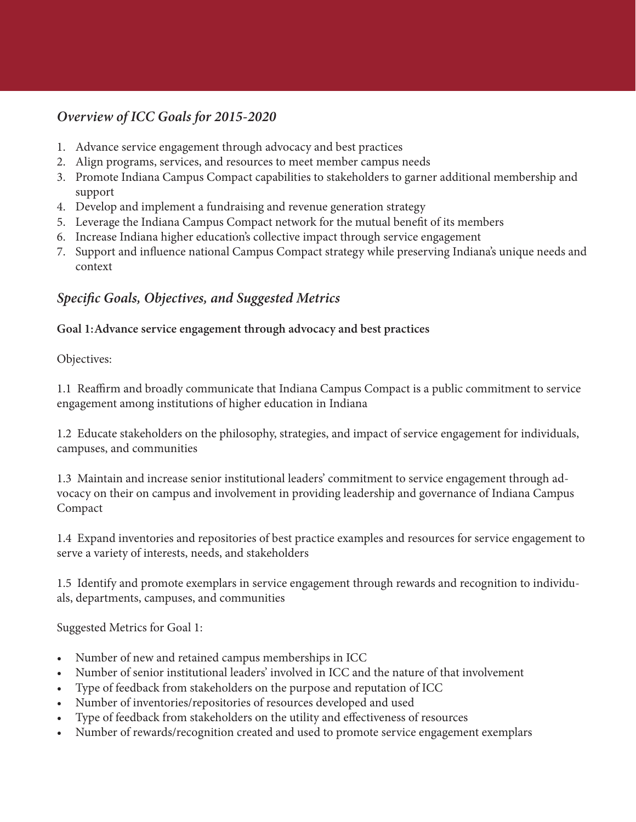## *Overview of ICC Goals for 2015-2020*

- 1. Advance service engagement through advocacy and best practices
- 2. Align programs, services, and resources to meet member campus needs
- 3. Promote Indiana Campus Compact capabilities to stakeholders to garner additional membership and support
- 4. Develop and implement a fundraising and revenue generation strategy
- 5. Leverage the Indiana Campus Compact network for the mutual benefit of its members
- 6. Increase Indiana higher education's collective impact through service engagement
- 7. Support and influence national Campus Compact strategy while preserving Indiana's unique needs and context

### *Specific Goals, Objectives, and Suggested Metrics*

#### **Goal 1:Advance service engagement through advocacy and best practices**

Objectives:

1.1 Reaffirm and broadly communicate that Indiana Campus Compact is a public commitment to service engagement among institutions of higher education in Indiana

1.2 Educate stakeholders on the philosophy, strategies, and impact of service engagement for individuals, campuses, and communities

1.3 Maintain and increase senior institutional leaders' commitment to service engagement through advocacy on their on campus and involvement in providing leadership and governance of Indiana Campus Compact

1.4 Expand inventories and repositories of best practice examples and resources for service engagement to serve a variety of interests, needs, and stakeholders

1.5 Identify and promote exemplars in service engagement through rewards and recognition to individuals, departments, campuses, and communities

Suggested Metrics for Goal 1:

- Number of new and retained campus memberships in ICC
- Number of senior institutional leaders' involved in ICC and the nature of that involvement
- Type of feedback from stakeholders on the purpose and reputation of ICC
- Number of inventories/repositories of resources developed and used
- Type of feedback from stakeholders on the utility and effectiveness of resources
- Number of rewards/recognition created and used to promote service engagement exemplars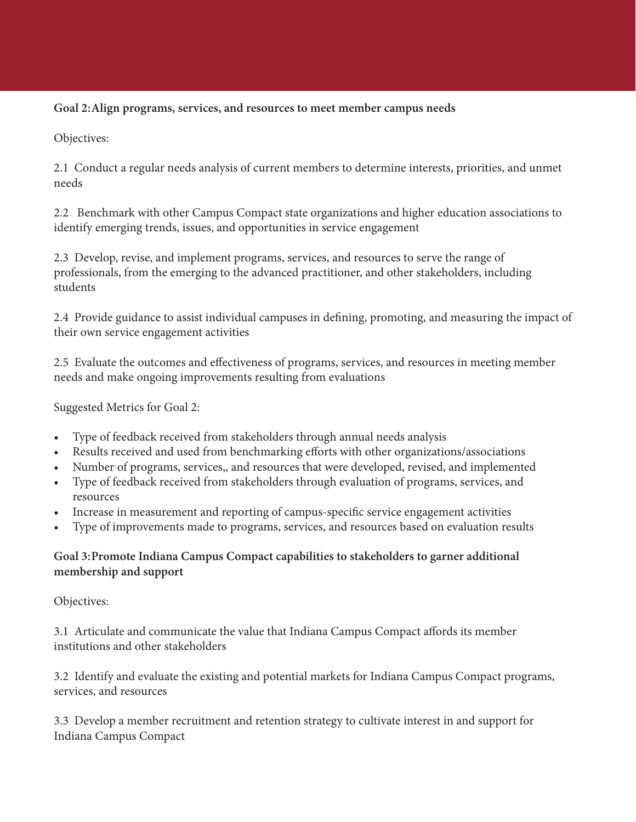#### **Goal 2:Align programs, services, and resources to meet member campus needs**

Objectives:

2.1 Conduct a regular needs analysis of current members to determine interests, priorities, and unmet needs

2.2 Benchmark with other Campus Compact state organizations and higher education associations to identify emerging trends, issues, and opportunities in service engagement

2.3 Develop, revise, and implement programs, services, and resources to serve the range of professionals, from the emerging to the advanced practitioner, and other stakeholders, including students

2.4 Provide guidance to assist individual campuses in defining, promoting, and measuring the impact of their own service engagement activities

2.5 Evaluate the outcomes and effectiveness of programs, services, and resources in meeting member needs and make ongoing improvements resulting from evaluations

Suggested Metrics for Goal 2:

- Type of feedback received from stakeholders through annual needs analysis
- Results received and used from benchmarking efforts with other organizations/associations
- Number of programs, services,, and resources that were developed, revised, and implemented
- Type of feedback received from stakeholders through evaluation of programs, services, and resources
- Increase in measurement and reporting of campus-specific service engagement activities
- Type of improvements made to programs, services, and resources based on evaluation results

#### **Goal 3:Promote Indiana Campus Compact capabilities to stakeholders to garner additional membership and support**

#### Objectives:

3.1 Articulate and communicate the value that Indiana Campus Compact affords its member institutions and other stakeholders

3.2 Identify and evaluate the existing and potential markets for Indiana Campus Compact programs, services, and resources

3.3 Develop a member recruitment and retention strategy to cultivate interest in and support for Indiana Campus Compact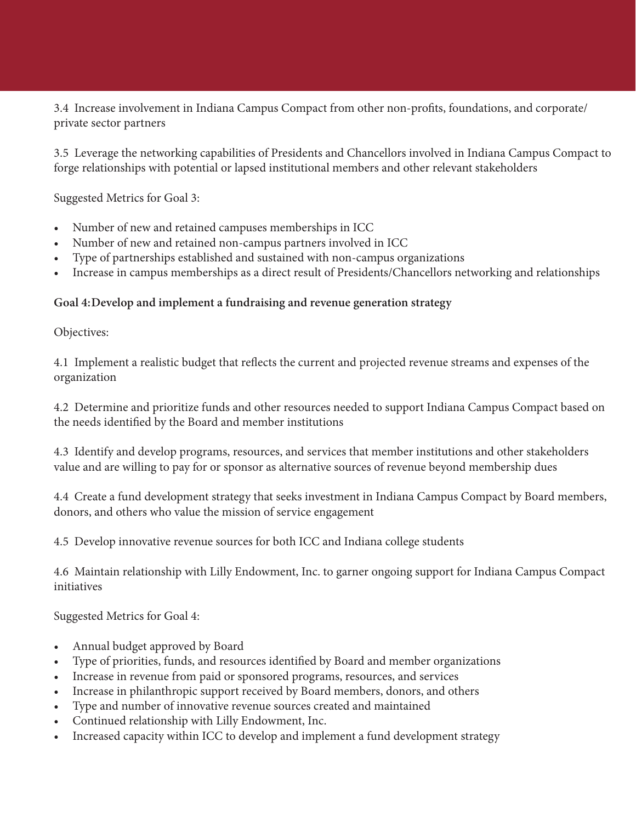3.4 Increase involvement in Indiana Campus Compact from other non-profits, foundations, and corporate/ private sector partners

3.5 Leverage the networking capabilities of Presidents and Chancellors involved in Indiana Campus Compact to forge relationships with potential or lapsed institutional members and other relevant stakeholders

Suggested Metrics for Goal 3:

- • Number of new and retained campuses memberships in ICC
- Number of new and retained non-campus partners involved in ICC
- • Type of partnerships established and sustained with non-campus organizations
- Increase in campus memberships as a direct result of Presidents/Chancellors networking and relationships

#### **Goal 4:Develop and implement a fundraising and revenue generation strategy**

Objectives:

4.1 Implement a realistic budget that reflects the current and projected revenue streams and expenses of the organization

4.2 Determine and prioritize funds and other resources needed to support Indiana Campus Compact based on the needs identified by the Board and member institutions

4.3 Identify and develop programs, resources, and services that member institutions and other stakeholders value and are willing to pay for or sponsor as alternative sources of revenue beyond membership dues

4.4 Create a fund development strategy that seeks investment in Indiana Campus Compact by Board members, donors, and others who value the mission of service engagement

4.5 Develop innovative revenue sources for both ICC and Indiana college students

4.6 Maintain relationship with Lilly Endowment, Inc. to garner ongoing support for Indiana Campus Compact initiatives

Suggested Metrics for Goal 4:

- Annual budget approved by Board
- • Type of priorities, funds, and resources identified by Board and member organizations
- Increase in revenue from paid or sponsored programs, resources, and services
- Increase in philanthropic support received by Board members, donors, and others
- Type and number of innovative revenue sources created and maintained
- Continued relationship with Lilly Endowment, Inc.
- Increased capacity within ICC to develop and implement a fund development strategy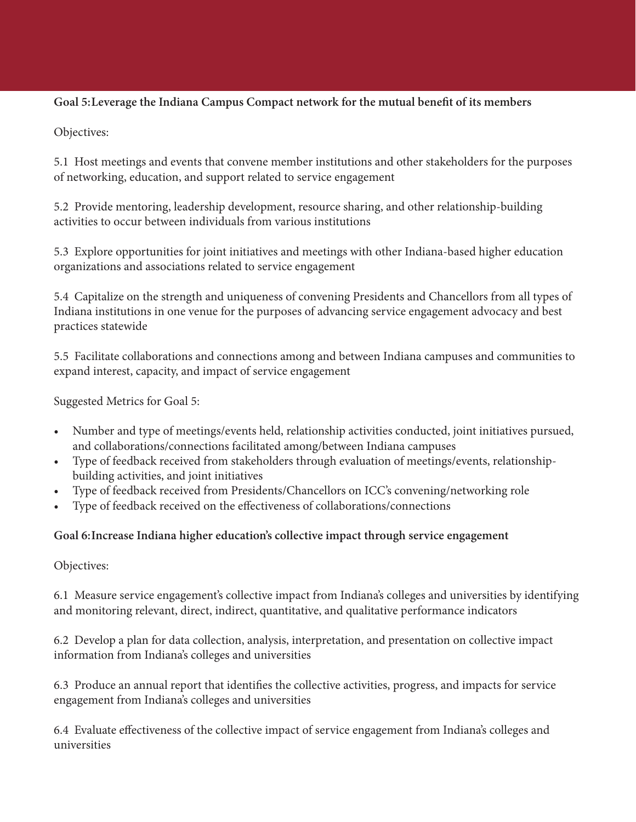#### **Goal 5:Leverage the Indiana Campus Compact network for the mutual benefit of its members**

Objectives:

5.1 Host meetings and events that convene member institutions and other stakeholders for the purposes of networking, education, and support related to service engagement

5.2 Provide mentoring, leadership development, resource sharing, and other relationship-building activities to occur between individuals from various institutions

5.3 Explore opportunities for joint initiatives and meetings with other Indiana-based higher education organizations and associations related to service engagement

5.4 Capitalize on the strength and uniqueness of convening Presidents and Chancellors from all types of Indiana institutions in one venue for the purposes of advancing service engagement advocacy and best practices statewide

5.5 Facilitate collaborations and connections among and between Indiana campuses and communities to expand interest, capacity, and impact of service engagement

Suggested Metrics for Goal 5:

- Number and type of meetings/events held, relationship activities conducted, joint initiatives pursued, and collaborations/connections facilitated among/between Indiana campuses
- • Type of feedback received from stakeholders through evaluation of meetings/events, relationshipbuilding activities, and joint initiatives
- Type of feedback received from Presidents/Chancellors on ICC's convening/networking role
- Type of feedback received on the effectiveness of collaborations/connections

#### **Goal 6:Increase Indiana higher education's collective impact through service engagement**

#### Objectives:

6.1 Measure service engagement's collective impact from Indiana's colleges and universities by identifying and monitoring relevant, direct, indirect, quantitative, and qualitative performance indicators

6.2 Develop a plan for data collection, analysis, interpretation, and presentation on collective impact information from Indiana's colleges and universities

6.3 Produce an annual report that identifies the collective activities, progress, and impacts for service engagement from Indiana's colleges and universities

6.4 Evaluate effectiveness of the collective impact of service engagement from Indiana's colleges and universities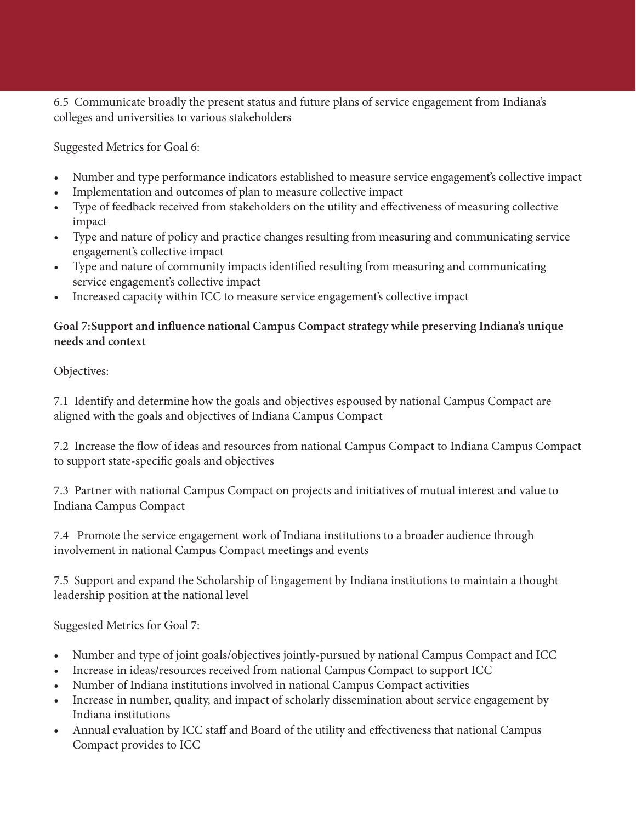6.5 Communicate broadly the present status and future plans of service engagement from Indiana's colleges and universities to various stakeholders

Suggested Metrics for Goal 6:

- Number and type performance indicators established to measure service engagement's collective impact
- Implementation and outcomes of plan to measure collective impact
- Type of feedback received from stakeholders on the utility and effectiveness of measuring collective impact
- • Type and nature of policy and practice changes resulting from measuring and communicating service engagement's collective impact
- • Type and nature of community impacts identified resulting from measuring and communicating service engagement's collective impact
- Increased capacity within ICC to measure service engagement's collective impact

#### **Goal 7:Support and influence national Campus Compact strategy while preserving Indiana's unique needs and context**

Objectives:

7.1 Identify and determine how the goals and objectives espoused by national Campus Compact are aligned with the goals and objectives of Indiana Campus Compact

7.2 Increase the flow of ideas and resources from national Campus Compact to Indiana Campus Compact to support state-specific goals and objectives

7.3 Partner with national Campus Compact on projects and initiatives of mutual interest and value to Indiana Campus Compact

7.4 Promote the service engagement work of Indiana institutions to a broader audience through involvement in national Campus Compact meetings and events

7.5 Support and expand the Scholarship of Engagement by Indiana institutions to maintain a thought leadership position at the national level

Suggested Metrics for Goal 7:

- Number and type of joint goals/objectives jointly-pursued by national Campus Compact and ICC
- Increase in ideas/resources received from national Campus Compact to support ICC
- Number of Indiana institutions involved in national Campus Compact activities
- Increase in number, quality, and impact of scholarly dissemination about service engagement by Indiana institutions
- Annual evaluation by ICC staff and Board of the utility and effectiveness that national Campus Compact provides to ICC